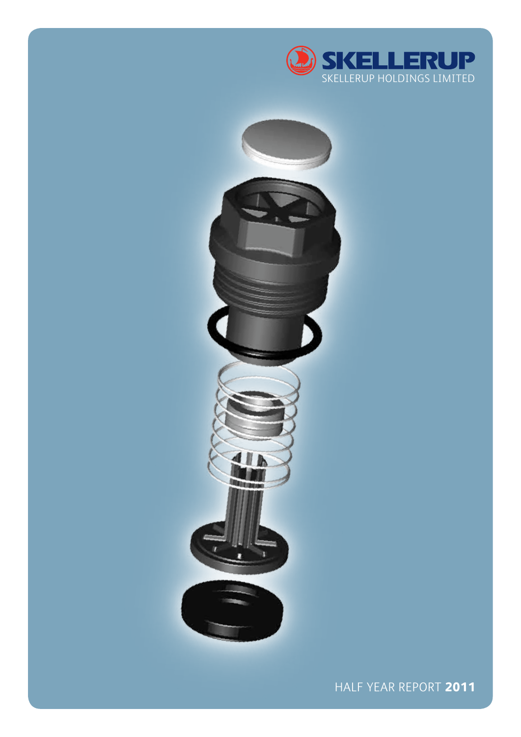



Half YEar REPORT **2011**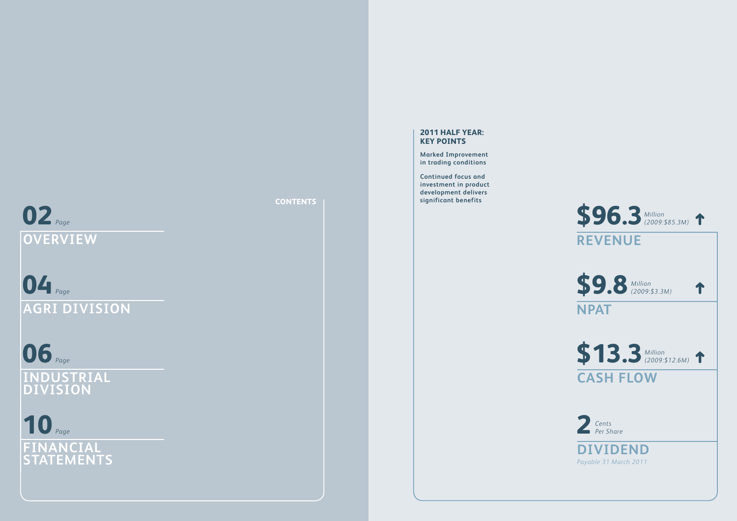# **02***Page* **overv iew**

**04** *Page* **Agr i D i v i s i o n**

**06** *Page*

**INDUSTRIAL DIVISION** 

# *Page* **10 FINANCIA L STAT E M ENT S**

**CONTENTS**

# **2011 Half Year: Ke y Points**

**Marked Improvement in trading conditions**

**Continued focus and investment in product development delivers significant benefits**

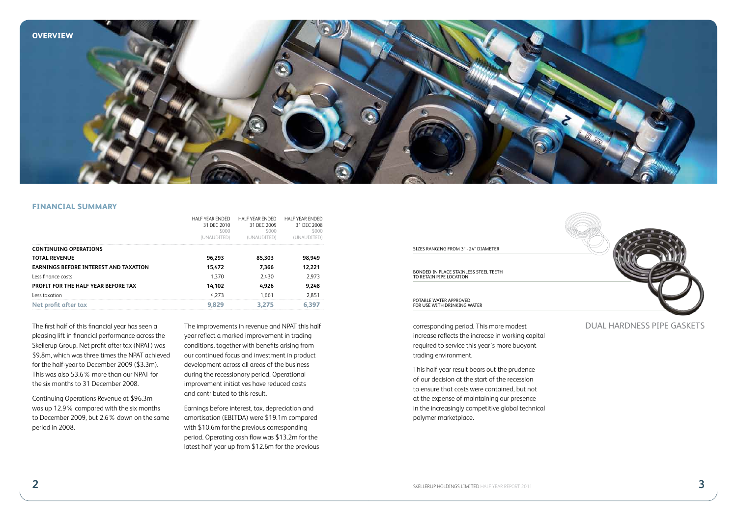

### **financial summary**

|                                              | HAI F YEAR ENDED<br>31 DFC 2010 | HALF YEAR ENDED<br>31 DFC 2009 | <b>HALF YEAR ENDED</b><br>31 DEC 2008 |
|----------------------------------------------|---------------------------------|--------------------------------|---------------------------------------|
|                                              | \$000                           | \$000                          | 5000                                  |
|                                              | (UNAUDITED)                     | ( HD)                          |                                       |
| <b>CONTINUING OPERATIONS</b>                 |                                 |                                |                                       |
| <b>TOTAL REVENUE</b>                         | 96,293                          | 85,303                         | 98,949                                |
| <b>EARNINGS BEFORE INTEREST AND TAXATION</b> | 15,472                          | 7,366                          | 12,221                                |
| Less finance costs                           | 1.370                           | 2.430                          | 2.973                                 |
| PROFIT FOR THE HALF YEAR BEFORE TAX          | 14,102                          | 4.926                          | 9,248                                 |
| Less taxation                                | 4.273                           | 1.661                          | 2.851                                 |
| Net profit after tax                         |                                 |                                |                                       |

The first half of this financial year has seen a pleasing lift in financial performance across the Skellerup Group. Net profit after tax (NPAT) was \$9.8m, which was three times the NPAT achieved for the half-year to December 2009 (\$3.3m). This was also 53.6% more than our NPAT for the six months to 31 December 2008.

Continuing Operations Revenue at \$96.3m was up 12.9% compared with the six months to December 2009, but 2.6% down on the same period in 2008.

year reflect a marked improvement in trading conditions, together with benefits arising from our continued focus and investment in product development across all areas of the business during the recessionary period. Operational improvement initiatives have reduced costs and contributed to this result.

Earnings before interest, tax, depreciation and amortisation (EBITDA) were \$19.1m compared with \$10.6m for the previous corresponding period. Operating cash flow was \$13.2m for the latest half year up from \$12.6m for the previous



corresponding period. This more modest increase reflects the increase in working capital required to service this year's more buoyant trading environment.

This half year result bears out the prudence of our decision at the start of the recession to ensure that costs were contained, but not at the expense of maintaining our presence in the increasingly competitive global technical polymer marketplace.

# The improvements in revenue and NPAT this half **Example 2018** Corresponding period. This more modest **DUAL HARDNESS PIPE GASKETS**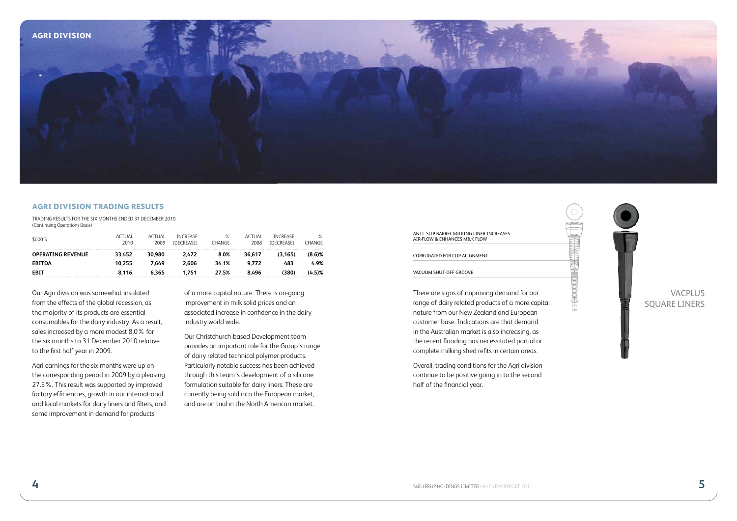

#### **Agri Division trading results**

Trading Results for the Six Months ended 31 December 2010 (Continuing Operations Basis)

| \$000'S                  | ACTUAL<br>2010 | <b>ACTUAL</b><br>2009 | <b>INCREASE</b><br>(DECREASE) | $\%$<br>CHANGE | ACTUAL<br>2008 | <b>INCREASE</b><br>(DECREASE) | $\%$<br>CHANGE |
|--------------------------|----------------|-----------------------|-------------------------------|----------------|----------------|-------------------------------|----------------|
| <b>OPERATING REVENUE</b> | 33.452         | 30.980                | 2.472                         | 8.0%           | 36.617         | (3.165)                       | $(8.6)$ %      |
| <b>EBITDA</b>            | 10.255         | 7.649                 | 2.606                         | 34.1%          | 9.772          | 483                           | 4.9%           |
| EBIT                     | 8.116          | 6.365                 | 1.751                         | 27.5%          | 8.496          | (380)                         | (4.5)%         |

Our Agri division was somewhat insulated from the effects of the global recession, as the majority of its products are essential consumables for the dairy industry. As a result, sales increased by a more modest 8.0% for the six months to 31 December 2010 relative to the first half year in 2009.

Agri earnings for the six months were up on the corresponding period in 2009 by a pleasing 27.5%. This result was supported by improved factory efficiencies, growth in our international and local markets for dairy liners and filters, and some improvement in demand for products

of a more capital nature. There is on-going improvement in milk solid prices and an associated increase in confidence in the dairy industry world wide.

Our Christchurch-based Development team provides an important role for the Group's range of dairy related technical polymer products. Particularly notable success has been achieved through this team's development of a silicone formulation suitable for dairy liners. These are currently being sold into the European market, and are on trial in the North American market.

# ANTI- SLIP BARREL MILKING LINER INCREASES AIR-FLOW & ENHANCES MILK FLOW

#### CORRUGATED FOR CUP ALIGNMENT

#### VACUUM SHUT-OFF GROOVE

There are signs of improving demand for our range of dairy related products of a more capital nature from our New Zealand and European customer base. Indications are that demand in the Australian market is also increasing, as the recent flooding has necessitated partial or complete milking shed refits in certain areas.

Overall, trading conditions for the Agri division continue to be positive going in to the second half of the financial year.



**The Community of Street Andrew Community of the Community of the Community of The Community of The Community of The Community of The Community of The Community of The Community of The Community of The Community of The Com** 

# **VACPLUS** SQUARE LINERS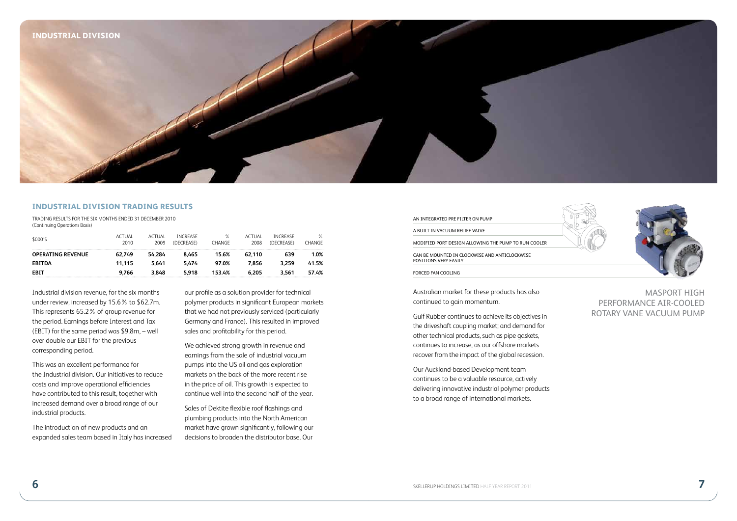

#### **INDUSTRIAL DIVISION TRADING RESULTS**

Trading Results for the Six Months ended 31 December 2010 (Continuing Operations Basis)

| \$000'S                  | <b>ACTUAL</b><br>2010 | <b>ACTUAL</b><br>2009 | <b>INCREASE</b><br>(DECREASE) | %<br>CHANGE | ACTUAL<br>2008 | <b>INCREASE</b><br>(DECREASE) | ℅<br><b>CHANGE</b> |
|--------------------------|-----------------------|-----------------------|-------------------------------|-------------|----------------|-------------------------------|--------------------|
| <b>OPERATING REVENUE</b> | 62.749                | 54.284                | 8.465                         | 15.6%       | 62.110         | 639                           | 1.0%               |
| <b>EBITDA</b>            | 11.115                | 5.641                 | 5.474                         | 97.0%       | 7.856          | 3.259                         | 41.5%              |
| EBIT                     | 9.766                 | 3.848                 | 5.918                         | 153.4%      | 6.205          | 3.561                         | 57.4%              |

Industrial division revenue, for the six months under review, increased by 15.6% to \$62.7m. This represents 65.2% of group revenue for the period. Earnings before Interest and Tax (EBIT) for the same period was \$9.8m, – well over double our EBIT for the previous corresponding period.

This was an excellent performance for the Industrial division. Our initiatives to reduce costs and improve operational efficiencies have contributed to this result, together with increased demand over a broad range of our industrial products.

The introduction of new products and an expanded sales team based in Italy has increased our profile as a solution provider for technical polymer products in significant European markets that we had not previously serviced (particularly Germany and France). This resulted in improved sales and profitability for this period.

We achieved strong growth in revenue and earnings from the sale of industrial vacuum pumps into the US oil and gas exploration markets on the back of the more recent rise in the price of oil. This growth is expected to continue well into the second half of the year.

Sales of Dektite flexible roof flashings and plumbing products into the North American market have grown significantly, following our decisions to broaden the distributor base. Our



forced fan cooling

Australian market for these products has also continued to gain momentum.

Gulf Rubber continues to achieve its objectives in the driveshaft coupling market; and demand for other technical products, such as pipe gaskets, continues to increase, as our offshore markets recover from the impact of the global recession.

Our Auckland-based Development team continues to be a valuable resource, actively delivering innovative industrial polymer products to a broad range of international markets.



MASPORT HIGH PERFORMANCE AIR-COOLED ROTARY VANE VACUUM PUMP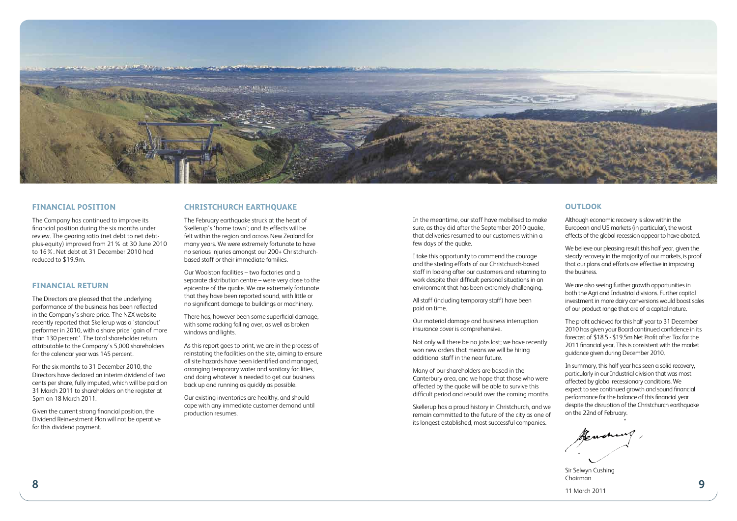

## **Financial Position**

The Company has continued to improve its financial position during the six months under review. The gearing ratio (net debt to net debtplus-equity) improved from 21% at 30 June 2010 to 16%. Net debt at 31 December 2010 had reduced to \$19.9m.

# **Financial Return**

The Directors are pleased that the underlying performance of the business has been reflected in the Company's share price. The NZX website recently reported that Skellerup was a 'standout' performer in 2010, with a share price 'gain of more than 130 percent'. The total shareholder return attributable to the Company's 5,000 shareholders for the calendar year was 145 percent.

For the six months to 31 December 2010, the Directors have declared an interim dividend of two cents per share, fully imputed, which will be paid on 31 March 2011 to shareholders on the register at 5pm on 18 March 2011.

Given the current strong financial position, the Dividend Reinvestment Plan will not be operative for this dividend payment.

### **Christchurch Earthquake**

The February earthquake struck at the heart of Skellerup's 'home town'; and its effects will be felt within the region and across New Zealand for many years. We were extremely fortunate to have no serious injuries amongst our 200+ Christchurchbased staff or their immediate families.

Our Woolston facilities – two factories and a separate distribution centre – were very close to the epicentre of the quake. We are extremely fortunate that they have been reported sound, with little or no significant damage to buildings or machinery.

There has, however been some superficial damage, with some racking falling over, as well as broken windows and lights.

As this report goes to print, we are in the process of reinstating the facilities on the site, aiming to ensure all site hazards have been identified and managed, arranging temporary water and sanitary facilities, and doing whatever is needed to get our business back up and running as quickly as possible.

Our existing inventories are healthy, and should cope with any immediate customer demand until production resumes.

In the meantime, our staff have mobilised to make sure, as they did after the September 2010 quake, that deliveries resumed to our customers within a few days of the quake.

I take this opportunity to commend the courage and the sterling efforts of our Christchurch-based staff in looking after our customers and returning to work despite their difficult personal situations in an environment that has been extremely challenging.

All staff (including temporary staff) have been paid on time.

Our material damage and business interruption insurance cover is comprehensive.

Not only will there be no jobs lost; we have recently won new orders that means we will be hiring additional staff in the near future.

Many of our shareholders are based in the Canterbury area, and we hope that those who were affected by the quake will be able to survive this difficult period and rebuild over the coming months.

Skellerup has a proud history in Christchurch, and we remain committed to the future of the city as one of its longest established, most successful companies.

# **Outlook**

Although economic recovery is slow within the European and US markets (in particular), the worst effects of the global recession appear to have abated.

We believe our pleasing result this half year, given the steady recovery in the majority of our markets, is proof that our plans and efforts are effective in improving the business.

We are also seeing further growth opportunities in both the Agri and Industrial divisions. Further capital investment in more dairy conversions would boost sales of our product range that are of a capital nature.

The profit achieved for this half year to 31 December 2010 has given your Board continued confidence in its forecast of \$18.5 - \$19.5m Net Profit after Tax for the 2011 financial year. This is consistent with the market guidance given during December 2010.

In summary, this half year has seen a solid recovery, particularly in our Industrial division that was most affected by global recessionary conditions. We expect to see continued growth and sound financial performance for the balance of this financial year despite the disruption of the Christchurch earthquake on the 22nd of February.

**8 9** Sir Selwyn Cushing Chairman

11 March 2011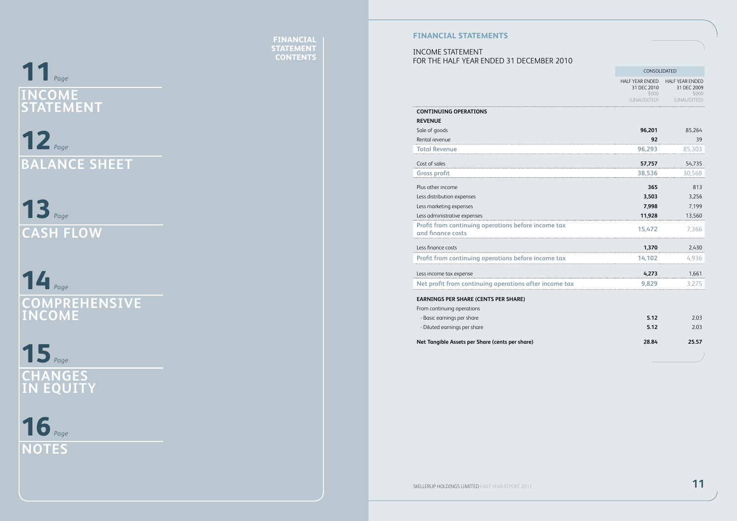# **11***Page* **INCOME STAT E M ENT**

**12** *Page* **BALANCE SHEET** 

**13** *Page* **C ash Flow**

*Page* **14 COMPREHENSIVE INCOME** 

15<sub>Page</sub> **Changes in Equit y**

16 Page **NOTE** 

**FINANCI STATEMENT CONTENTS**

# **FINANCIAL ST**

## INCOME STATEMENT FOR THE HALF YEAR ENDED 31 december 2010

|                                                                          | CONSOLIDATED                                                  |                                                               |
|--------------------------------------------------------------------------|---------------------------------------------------------------|---------------------------------------------------------------|
|                                                                          | <b>HALF YEAR ENDED</b><br>31 DEC 2010<br>\$000<br>(UNAUDITED) | <b>HALF YEAR ENDED</b><br>31 DEC 2009<br>\$000<br>(UNAUDITED) |
| <b>CONTINUING OPERATIONS</b>                                             |                                                               |                                                               |
| <b>REVENUE</b>                                                           |                                                               |                                                               |
| Sale of goods                                                            | 96,201                                                        | 85,264                                                        |
| Rental revenue                                                           | 92                                                            | 39                                                            |
| Total Revenue                                                            | 96,293                                                        | 85,303                                                        |
| Cost of sales                                                            | 57,757                                                        | 54,735                                                        |
| Gross profit                                                             | 38,536                                                        | 30,568                                                        |
| Plus other income                                                        | 365                                                           | 813                                                           |
| Less distribution expenses                                               | 3,503                                                         | 3,256                                                         |
| Less marketing expenses                                                  | 7,998                                                         | 7,199                                                         |
| Less administrative expenses                                             | 11,928                                                        | 13,560                                                        |
| Profit from continuing operations before income tax<br>and finance costs | 15,472                                                        | 7.366                                                         |
| Less finance costs                                                       | 1,370                                                         | 2,430                                                         |
| Profit from continuing operations before income tax                      | 14,102                                                        | 4,936                                                         |
| Less income tax expense                                                  | 4,273                                                         | 1,661                                                         |
| Net profit from continuing operations after income tax                   | 9.829                                                         | 3.275                                                         |
| <b>EARNINGS PER SHARE (CENTS PER SHARE)</b>                              |                                                               |                                                               |
| From continuing operations                                               |                                                               |                                                               |
| - Basic earnings per share                                               | 5.12                                                          | 2.03                                                          |
| - Diluted earnings per share                                             | 5.12                                                          | 2.03                                                          |
| Net Tangible Assets per Share (cents per share)                          | 28.84                                                         | 25.57                                                         |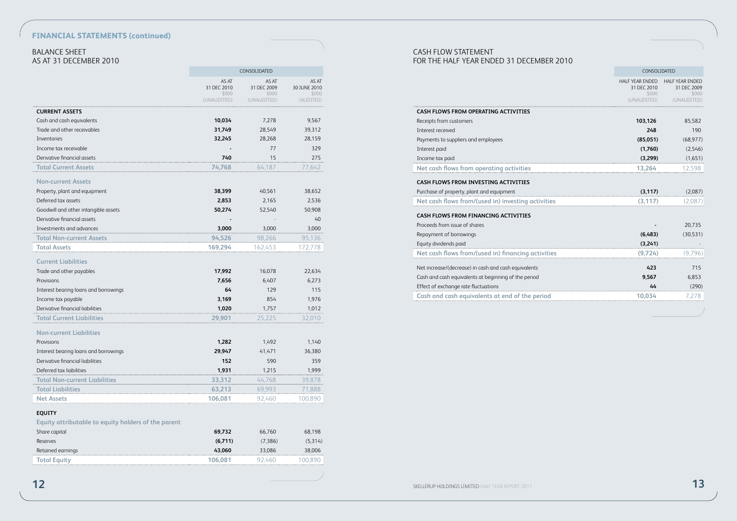# **FINANCIAL STATEMENTS (continued)**

# Balance Sheet AS AT 31 december 2010

|                                                              |                                              | CONSOLIDATED                  |                                             |                                                      | CONSOLIDATED                                                           |
|--------------------------------------------------------------|----------------------------------------------|-------------------------------|---------------------------------------------|------------------------------------------------------|------------------------------------------------------------------------|
|                                                              | AS AT<br>31 DEC 2010<br>\$000<br>(UNAUDITED) | AS AT<br>31 DEC 2009<br>\$000 | AS AT<br>30 JUNE 2010<br>\$000<br>(AUDITED) |                                                      | HALF YEAR ENDED HALF YEAR ENDED<br>31 DEC 2010<br>\$000<br>(UNAUDITED) |
|                                                              |                                              | (UNAUDITED)                   |                                             |                                                      |                                                                        |
| <b>CURRENT ASSETS</b>                                        | 10,034                                       |                               | 9,567                                       | CASH FLOWS FROM OPERATING ACTIVITIES                 |                                                                        |
| Cash and cash equivalents                                    | 31,749                                       | 7,278                         |                                             | Receipts from customers                              | 103,126                                                                |
| Trade and other receivables                                  | 32,245                                       | 28,549                        | 39,312                                      | Interest received                                    | 248                                                                    |
| Inventories                                                  |                                              | 28,268<br>77                  | 28,159<br>329                               | Payments to suppliers and employees                  | (85,051)                                                               |
| Income tax receivable<br>Derivative financial assets         | 740                                          | 15                            | 275                                         | Interest paid                                        | (1,760)                                                                |
|                                                              |                                              |                               |                                             | Income tax paid                                      | (3,299)                                                                |
| <b>Total Current Assets</b>                                  | 74,768                                       | 64,187                        | 77,642                                      | Net cash flows from operating activities             | 13,264                                                                 |
| <b>Non-current Assets</b>                                    |                                              |                               |                                             | CASH FLOWS FROM INVESTING ACTIVITIES                 |                                                                        |
| Property, plant and equipment                                | 38,399                                       | 40,561                        | 38,652                                      | Purchase of property, plant and equipment            | (3, 117)                                                               |
| Deferred tax assets                                          | 2,853                                        | 2,165                         | 2,536                                       | Net cash flows from/(used in) investing activities   | (3, 117)                                                               |
| Goodwill and other intangible assets                         | 50,274                                       | 52,540                        | 50,908                                      |                                                      |                                                                        |
| Derivative financial assets                                  |                                              | $\sim$                        | 40                                          | CASH FLOWS FROM FINANCING ACTIVITIES                 |                                                                        |
| Investments and advances                                     | 3,000                                        | 3,000                         | 3,000                                       | Proceeds from issue of shares                        | $\blacksquare$                                                         |
| <b>Total Non-current Assets</b>                              | 94,526                                       | 98,266                        | 95,136                                      | Repayment of borrowings                              | (6,483)                                                                |
| <b>Total Assets</b>                                          | 169,294                                      | 162,453                       | 172,778                                     | Equity dividends paid                                | (3,241)                                                                |
| <b>Current Liabilities</b>                                   |                                              |                               |                                             | Net cash flows from/(used in) financing activities   | (9,724)                                                                |
| Trade and other payables                                     | 17,992                                       | 16,078                        | 22,634                                      | Net increase/(decrease) in cash and cash equivalents | 423                                                                    |
| Provisions                                                   | 7,656                                        | 6,407                         | 6,273                                       | Cash and cash equivalents at beginning of the period | 9,567                                                                  |
| Interest bearing loans and borrowings                        | 64                                           | 129                           | 115                                         | Effect of exchange rate fluctuations                 | 44                                                                     |
| Income tax payable                                           | 3,169                                        | 854                           | 1,976                                       | Cash and cash equivalents at end of the period       | 10,034                                                                 |
| Derivative financial liabilities                             | 1,020                                        | 1,757                         | 1,012                                       |                                                      |                                                                        |
| <b>Total Current Liabilities</b>                             | 29,901                                       | 25,225                        | 32,010                                      |                                                      |                                                                        |
|                                                              |                                              |                               |                                             |                                                      |                                                                        |
| <b>Non-current Liabilities</b>                               |                                              |                               |                                             |                                                      |                                                                        |
| Provisions                                                   | 1,282                                        | 1,492                         | 1,140                                       |                                                      |                                                                        |
| Interest bearing loans and borrowings                        | 29,947                                       | 41,471                        | 36,380                                      |                                                      |                                                                        |
| Derivative financial liabilities<br>Deferred tax liabilities | 152<br>1,931                                 | 590<br>1,215                  | 359<br>1,999                                |                                                      |                                                                        |
| <b>Total Non-current Liabilities</b>                         | 33,312                                       | 44,768                        | 39,878                                      |                                                      |                                                                        |
| <b>Total Liabilities</b>                                     | 63,213                                       | 69,993                        | 71,888                                      |                                                      |                                                                        |
| <b>Net Assets</b>                                            | 106,081                                      | 92,460                        | 100,890                                     |                                                      |                                                                        |
|                                                              |                                              |                               |                                             |                                                      |                                                                        |
| <b>EQUITY</b>                                                |                                              |                               |                                             |                                                      |                                                                        |
| Equity attributable to equity holders of the parent          |                                              |                               |                                             |                                                      |                                                                        |
| Share capital                                                | 69,732                                       | 66,760                        | 68,198                                      |                                                      |                                                                        |
| Reserves                                                     | (6,711)                                      | (7, 386)                      | (5,314)                                     |                                                      |                                                                        |
| Retained earnings                                            | 43,060                                       | 33,086                        | 38,006                                      |                                                      |                                                                        |
| <b>Total Equity</b>                                          | 106,081                                      | 92,460                        | 100,890                                     |                                                      |                                                                        |
|                                                              |                                              |                               |                                             |                                                      |                                                                        |
|                                                              |                                              |                               |                                             | SKELLERUP HOLDINGS LIMITED HALF YEAR REPORT 2011     |                                                                        |
|                                                              |                                              |                               |                                             |                                                      |                                                                        |

# Cash Flow Statement

FOR THE HALF YEAR ENDED 31 december 2010

|                                                      | CONSOLIDATED                                                  |                                                         |  |  |
|------------------------------------------------------|---------------------------------------------------------------|---------------------------------------------------------|--|--|
|                                                      | <b>HALF YEAR ENDED</b><br>31 DEC 2010<br>\$000<br>(UNAUDITED) | HAI F YEAR ENDED<br>31 DEC 2009<br>\$000<br>(UNAUDITED) |  |  |
| CASH FLOWS FROM OPERATING ACTIVITIES                 |                                                               |                                                         |  |  |
| Receipts from customers                              | 103,126                                                       | 85,582                                                  |  |  |
| Interest received                                    | 248                                                           | 190                                                     |  |  |
| Payments to suppliers and employees                  | (85,051)                                                      | (68, 977)                                               |  |  |
| Interest paid                                        | (1,760)                                                       | (2,546)                                                 |  |  |
| Income tax paid                                      | (3,299)                                                       | (1,651)                                                 |  |  |
| Net cash flows from operating activities             | 13,264                                                        | 12,598                                                  |  |  |
| CASH FLOWS FROM INVESTING ACTIVITIES                 |                                                               |                                                         |  |  |
| Purchase of property, plant and equipment            | (3, 117)                                                      | (2,087)                                                 |  |  |
| Net cash flows from/(used in) investing activities   | (3, 117)                                                      | 2.087)                                                  |  |  |
| CASH FLOWS FROM FINANCING ACTIVITIES                 |                                                               |                                                         |  |  |
| Proceeds from issue of shares                        |                                                               | 20.735                                                  |  |  |
| Repayment of borrowings                              | (6,483)                                                       | (30,531)                                                |  |  |
| Equity dividends paid                                | (3,241)                                                       |                                                         |  |  |
| Net cash flows from/(used in) financing activities   | (9,724)                                                       | (9,796)                                                 |  |  |
| Net increase/(decrease) in cash and cash equivalents | 423                                                           | 715                                                     |  |  |
| Cash and cash equivalents at beginning of the period | 9,567                                                         | 6,853                                                   |  |  |
| Effect of exchange rate fluctuations                 | 44                                                            | (290)                                                   |  |  |
| Cash and cash equivalents at end of the period       | 10,034                                                        | 7.278                                                   |  |  |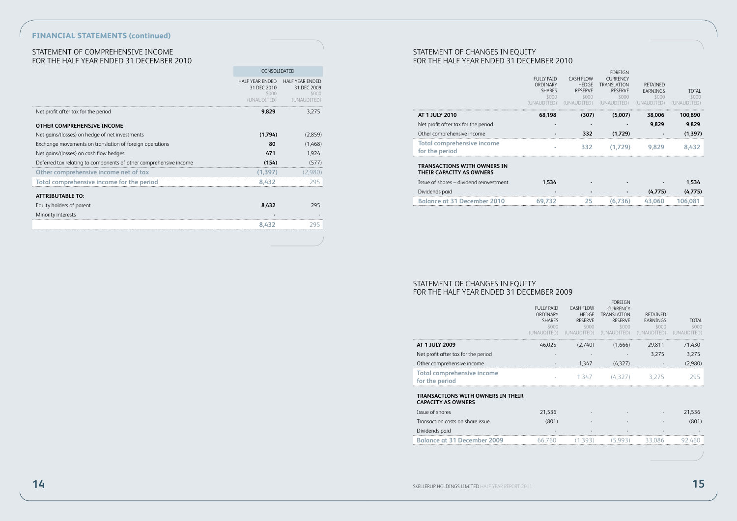# **FINANCIAL STATEMENTS (continued)**

# Statement of Comprehensive Income FOR THE HALF YEAR ENDED 31 DECEMBER 2010

|                                                                   | CONSOLIDATED                                                  |                                                         |  |  |
|-------------------------------------------------------------------|---------------------------------------------------------------|---------------------------------------------------------|--|--|
|                                                                   | <b>HALF YEAR ENDED</b><br>31 DEC 2010<br>\$000<br>(UNAUDITED) | HAI F YEAR ENDED<br>31 DEC 2009<br>\$000<br>(UNAUDITED) |  |  |
| Net profit after tax for the period                               | 9,829                                                         | 3.275                                                   |  |  |
| OTHER COMPREHENSIVE INCOME                                        |                                                               |                                                         |  |  |
| Net gains/(losses) on hedge of net investments                    | (1,794)                                                       | (2.859)                                                 |  |  |
| Exchange movements on translation of foreign operations           | 80                                                            | (1,468)                                                 |  |  |
| Net gains/(losses) on cash flow hedges                            | 471                                                           | 1.924                                                   |  |  |
| Deferred tax relating to components of other comprehensive income | (154)                                                         | (577)                                                   |  |  |
| Other comprehensive income net of tax                             | (1, 397)                                                      | (2.980)                                                 |  |  |
| Total comprehensive income for the period                         | 8.432                                                         | 295                                                     |  |  |
| <b>ATTRIBUTABLE TO:</b>                                           |                                                               |                                                         |  |  |
| Equity holders of parent                                          | 8,432                                                         | 295                                                     |  |  |
| Minority interests                                                |                                                               |                                                         |  |  |
|                                                                   | 8.432                                                         | ЛY                                                      |  |  |
|                                                                   |                                                               |                                                         |  |  |

# Statement of Changes in Equity FOR THE HALF YEAR ENDED 31 DECEMBER 2010

|                                                         | <b>FULLY PAID</b><br>ORDINARY<br><b>SHARES</b><br>\$000 | <b>CASH FLOW</b><br><b>HEDGE</b><br><b>RESERVE</b><br>\$000 | <b>FOREIGN</b><br><b>CURRENCY</b><br><b>TRANSLATION</b><br><b>RESERVE</b><br>\$000 | <b>RETAINED</b><br>EARNINGS<br>\$000 | TOTAL<br>\$000 |
|---------------------------------------------------------|---------------------------------------------------------|-------------------------------------------------------------|------------------------------------------------------------------------------------|--------------------------------------|----------------|
| AT 1 JULY 2010                                          | 68.198                                                  | (307)                                                       | (5.007)                                                                            | 38,006                               | 100.890        |
| Net profit after tax for the period                     |                                                         |                                                             |                                                                                    | 9,829                                | 9,829          |
| Other comprehensive income                              |                                                         | 332                                                         | (1.729)                                                                            |                                      | (1.397)        |
| Total comprehensive income<br>for the period            |                                                         | 332                                                         | (1.729)                                                                            | 9.829                                | 8.432          |
| TRANSACTIONS WITH OWNERS IN<br>THEIR CAPACITY AS OWNERS |                                                         |                                                             |                                                                                    |                                      |                |
| Issue of shares - dividend reinvestment                 | 1.534                                                   |                                                             |                                                                                    |                                      | 1,534          |
| Dividends paid                                          |                                                         |                                                             |                                                                                    | (4.775)                              | (4.775)        |
| Balance at 31 December 2010                             |                                                         | 25                                                          | 36                                                                                 | 43.060                               |                |

# Statement of Changes in Equity FOR THE HALF YEAR ENDED 31 DECEMBER 2009

|                                                                | <b>FULLY PAID</b><br>ORDINARY<br><b>SHARES</b><br>\$000 | <b>CASH FLOW</b><br><b>HFDGF</b><br><b>RESERVE</b><br>\$000 | <b>FORFIGN</b><br><b>CURRENCY</b><br><b>TRANSLATION</b><br><b>RESERVE</b><br>\$000 | <b>RETAINED</b><br><b>FARNINGS</b><br>\$000 | TOTAL<br>\$000 |
|----------------------------------------------------------------|---------------------------------------------------------|-------------------------------------------------------------|------------------------------------------------------------------------------------|---------------------------------------------|----------------|
| AT 1 JULY 2009                                                 | 46,025                                                  | (2.740)                                                     | (1,666)                                                                            | 29,811                                      | 71,430         |
| Net profit after tax for the period                            |                                                         |                                                             |                                                                                    | 3.275                                       | 3.275          |
| Other comprehensive income                                     |                                                         | 1.347                                                       | (4.327)                                                                            |                                             | (2.980)        |
| Total comprehensive income<br>for the period                   |                                                         |                                                             | $1.347$ $(4.327)$ $3.275$                                                          |                                             | 295            |
| TRANSACTIONS WITH OWNERS IN THEIR<br><b>CAPACITY AS OWNERS</b> |                                                         |                                                             |                                                                                    |                                             |                |
| Issue of shares                                                | 21,536                                                  |                                                             |                                                                                    |                                             | 21,536         |
| Transaction costs on share issue                               | (801)                                                   |                                                             |                                                                                    |                                             | (801)          |
| Dividends paid                                                 |                                                         |                                                             |                                                                                    |                                             |                |
| Balance at 31 December 2009                                    |                                                         |                                                             |                                                                                    |                                             |                |
|                                                                |                                                         |                                                             |                                                                                    |                                             |                |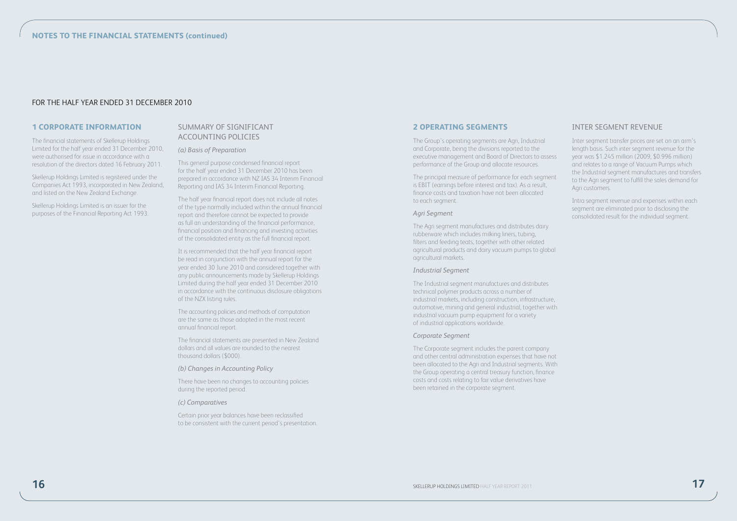# FOR THE HALF YEAR ENDED 31 DECEMBER 2010

#### **1 CORPORATE INFORMATION**

The financial statements of Skellerup Holdings Limited for the half year ended 31 December 2010, were authorised for issue in accordance with a resolution of the directors dated 16 February 2011.

Skellerup Holdings Limited is registered under the Companies Act 1993, incorporated in New Zealand, and listed on the New Zealand Exchange.

Skellerup Holdings Limited is an issuer for the purposes of the Financial Reporting Act 1993.

# SUMMARY OF SIGNIFICANT ACCOUNTING POLICIES

*(a) Basis of Preparation*

This general purpose condensed financial report for the half year ended 31 December 2010 has been prepared in accordance with NZ IAS 34 Interim Financial Reporting and IAS 34 Interim Financial Reporting.

The half year financial report does not include all notes of the type normally included within the annual financial report and therefore cannot be expected to provide as full an understanding of the financial performance, financial position and financing and investing activities of the consolidated entity as the full financial report.

It is recommended that the half year financial report be read in conjunction with the annual report for the year ended 30 June 2010 and considered together with any public announcements made by Skellerup Holdings Limited during the half year ended 31 December 2010 in accordance with the continuous disclosure obligations of the NZX listing rules.

The accounting policies and methods of computation are the same as those adopted in the most recent annual financial report.

The financial statements are presented in New Zealand dollars and all values are rounded to the nearest thousand dollars (\$000).

*(b) Changes in Accounting Policy*

There have been no changes to accounting policies during the reported period.

#### *(c) Comparatives*

Certain prior year balances have been reclassified to be consistent with the current period's presentation.

#### **2 OPERATING SEGMENTS**

The Group's operating segments are Agri, Industrial and Corporate, being the divisions reported to the executive management and Board of Directors to assess performance of the Group and allocate resources.

The principal measure of performance for each segment is EBIT (earnings before interest and tax). As a result, finance costs and taxation have not been allocated to each segment.

#### *Agri Segment*

The Agri segment manufactures and distributes dairy rubberware which includes milking liners, tubing, filters and feeding teats, together with other related agricultural products and dairy vacuum pumps to global agricultural markets.

#### *Industrial Segment*

The Industrial segment manufactures and distributes technical polymer products across a number of industrial markets, including construction, infrastructure, automotive, mining and general industrial, together with industrial vacuum pump equipment for a variety of industrial applications worldwide.

#### *Corporate Segment*

The Corporate segment includes the parent company and other central administration expenses that have not been allocated to the Agri and Industrial segments. With the Group operating a central treasury function, finance costs and costs relating to fair value derivatives have been retained in the corporate segment.

#### INTER SEGMENT REVENUE

Inter segment transfer prices are set on an arm's length basis. Such inter segment revenue for the year was \$1.245 million (2009, \$0.996 million) and relates to a range of Vacuum Pumps which the Industrial segment manufactures and transfers to the Agri segment to fulfill the sales demand for Agri customers.

Intra segment revenue and expenses within each segment are eliminated prior to disclosing the consolidated result for the individual segment.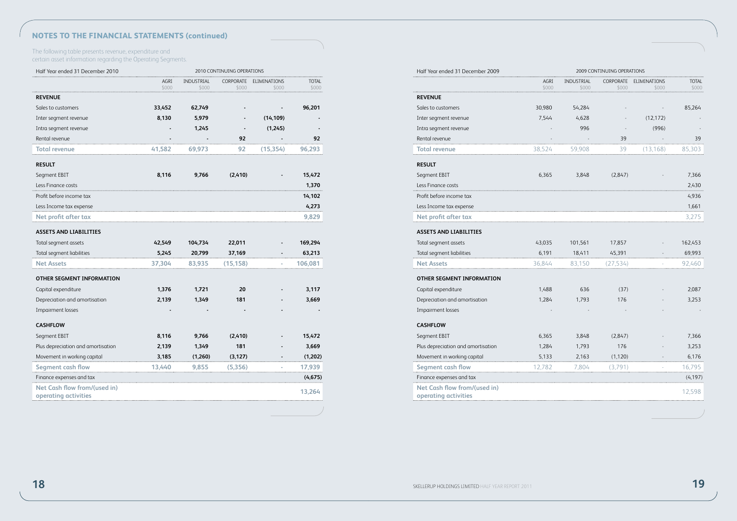# **Notes to the Financial Statements (continued)**

The following table presents revenue, expenditure and certain asset information regarding the Operating Segments.

| Half Year ended 31 December 2010   | 2010 CONTINUING OPERATIONS |                     |                    |                       |                |  |  |
|------------------------------------|----------------------------|---------------------|--------------------|-----------------------|----------------|--|--|
|                                    | AGRI<br>\$000              | INDUSTRIAL<br>\$000 | CORPORATE<br>\$000 | ELIMINATIONS<br>\$000 | TOTAL<br>\$000 |  |  |
| <b>REVENUE</b>                     |                            |                     |                    |                       |                |  |  |
| Sales to customers                 | 33,452                     | 62,749              |                    |                       | 96,201         |  |  |
| Inter segment revenue              | 8,130                      | 5,979               |                    | (14, 109)             |                |  |  |
| Intra segment revenue              |                            | 1,245               |                    | (1,245)               |                |  |  |
| Rental revenue                     |                            |                     | 92                 |                       | 92             |  |  |
| Total revenue                      | 41,582                     | 69,973              | 92                 | (15, 354)             | 96,293         |  |  |
| <b>RESULT</b>                      |                            |                     |                    |                       |                |  |  |
| Segment EBIT                       | 8,116                      | 9,766               | (2, 410)           |                       | 15,472         |  |  |
| Less Finance costs                 |                            |                     |                    |                       | 1,370          |  |  |
| Profit before income tax           |                            |                     |                    |                       | 14,102         |  |  |
| Less Income tax expense            |                            |                     |                    |                       | 4,273          |  |  |
| Net profit after tax               |                            |                     |                    |                       | 9,829          |  |  |
| <b>ASSETS AND LIABILITIES</b>      |                            |                     |                    |                       |                |  |  |
| Total segment assets               | 42,549                     | 104,734             | 22,011             |                       | 169,294        |  |  |
| Total segment liabilities          | 5,245                      | 20,799              | 37,169             |                       | 63,213         |  |  |
| Net Assets                         | 37,304                     | 83,935              | (15, 158)          |                       | 106,081        |  |  |
| OTHER SEGMENT INFORMATION          |                            |                     |                    |                       |                |  |  |
| Capital expenditure                | 1,376                      | 1,721               | 20                 |                       | 3,117          |  |  |
| Depreciation and amortisation      | 2,139                      | 1,349               | 181                |                       | 3,669          |  |  |
| Impairment losses                  |                            |                     |                    |                       |                |  |  |
| <b>CASHFLOW</b>                    |                            |                     |                    |                       |                |  |  |
| Segment EBIT                       | 8,116                      | 9,766               | (2, 410)           |                       | 15,472         |  |  |
| Plus depreciation and amortisation | 2,139                      | 1,349               | 181                |                       | 3,669          |  |  |
| Movement in working capital        | 3,185                      | (1,260)             | (3, 127)           |                       | (1,202)        |  |  |
| Segment cash flow                  | 13,440                     | 9,855               | (5,356)            |                       | 17,939         |  |  |
| Finance expenses and tax           |                            |                     |                    |                       | (4, 675)       |  |  |
| Net Cash flow from/(used in)       |                            |                     |                    |                       | 13,264         |  |  |
| operating activities               |                            |                     |                    |                       |                |  |  |

| Half Year ended 31 December 2009                     | 2009 CONTINUING OPERATIONS |                     |          |                                 |                |  |
|------------------------------------------------------|----------------------------|---------------------|----------|---------------------------------|----------------|--|
|                                                      | AGRI<br>\$000              | INDUSTRIAL<br>\$000 | \$000    | CORPORATE ELIMINATIONS<br>\$000 | TOTAL<br>\$000 |  |
| <b>REVENUE</b>                                       |                            |                     |          |                                 |                |  |
| Sales to customers                                   | 30,980                     | 54,284              |          |                                 | 85,264         |  |
| Inter segment revenue                                | 7,544                      | 4,628               |          | (12, 172)                       |                |  |
| Intra segment revenue                                |                            | 996                 |          | (996)                           |                |  |
| Rental revenue                                       |                            |                     | 39       |                                 | 39             |  |
| Total revenue                                        | 38,524                     | 59,908              | 39       | (13, 168)                       | 85,303         |  |
| <b>RESULT</b>                                        |                            |                     |          |                                 |                |  |
| Segment EBIT                                         | 6,365                      | 3,848               | (2,847)  |                                 | 7,366          |  |
| Less Finance costs                                   |                            |                     |          |                                 | 2,430          |  |
| Profit before income tax                             |                            |                     |          |                                 | 4,936          |  |
| Less Income tax expense                              |                            |                     |          |                                 | 1,661          |  |
| Net profit after tax                                 |                            |                     |          |                                 | 3,275          |  |
| <b>ASSETS AND LIABILITIES</b>                        |                            |                     |          |                                 |                |  |
| Total segment assets                                 | 43,035                     | 101,561             | 17,857   |                                 | 162,453        |  |
| Total segment liabilities                            | 6,191                      | 18,411              | 45,391   |                                 | 69,993         |  |
| <b>Net Assets</b>                                    | 36,844                     | 83,150              | (27,534) |                                 | 92,460         |  |
| OTHER SEGMENT INFORMATION                            |                            |                     |          |                                 |                |  |
| Capital expenditure                                  | 1,488                      | 636                 | (37)     |                                 | 2,087          |  |
| Depreciation and amortisation                        | 1,284                      | 1,793               | 176      |                                 | 3,253          |  |
| <b>Impairment losses</b>                             |                            |                     |          |                                 |                |  |
| <b>CASHFLOW</b>                                      |                            |                     |          |                                 |                |  |
| Segment EBIT                                         | 6,365                      | 3,848               | (2,847)  |                                 | 7,366          |  |
| Plus depreciation and amortisation                   | 1,284                      | 1,793               | 176      |                                 | 3,253          |  |
| Movement in working capital                          | 5,133                      | 2,163               | (1, 120) |                                 | 6,176          |  |
| Segment cash flow                                    | 12,782                     | 7,804               | (3,791)  |                                 | 16,795         |  |
| Finance expenses and tax                             |                            |                     |          |                                 | (4, 197)       |  |
| Net Cash flow from/(used in)<br>operating activities |                            |                     |          |                                 | 12,598         |  |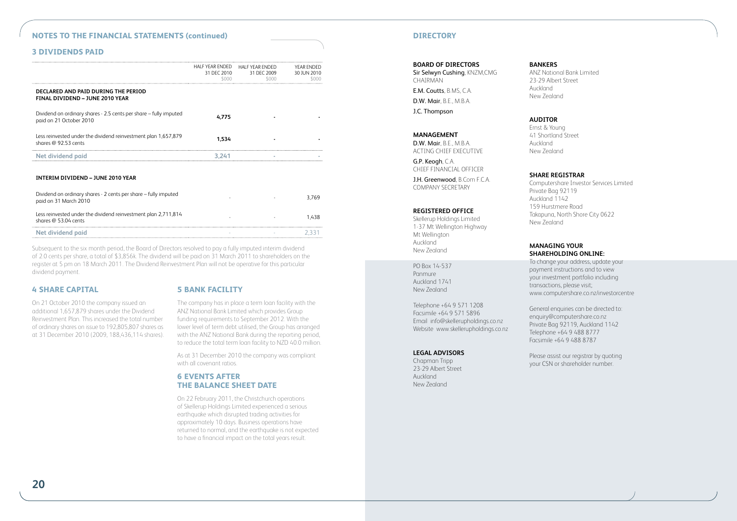# **NOTES TO THE FINANCIAL STATEMENTS (continued) DIRECTORY DIRECTORY**

# **3 DIVIDENDS PAID**

| 31 DEC 2010<br>SOOO | 31 DFC 2009<br>ruuu | YFAR FNDFD<br>30 IUN 2010       |
|---------------------|---------------------|---------------------------------|
|                     |                     |                                 |
| 4.775               |                     |                                 |
| 1.534               |                     |                                 |
| 3 241               |                     |                                 |
|                     |                     | HALF YEAR ENDED HALF YEAR ENDED |

#### **Interim dividend – June 2010 year**

| Dividend on ordinary shares - 2 cents per share - fully imputed<br>paid on 31 March 2010 |  | 3.769 |
|------------------------------------------------------------------------------------------|--|-------|
| Less reinvested under the dividend reinvestment plan 2,711,814<br>shares @ 53.04 cents   |  | 1438  |
| Net dividend paid                                                                        |  |       |

Subsequent to the six month period, the Board of Directors resolved to pay a fully imputed interim dividend of 2.0 cents per share, a total of \$3,856k. The dividend will be paid on 31 March 2011 to shareholders on the register at 5 pm on 18 March 2011. The Dividend Reinvestment Plan will not be operative for this particular dividend payment.

#### **4 SHARE CAPITAL**

On 21 October 2010 the company issued an additional 1,657,879 shares under the Dividend Reinvestment Plan. This increased the total number of ordinary shares on issue to 192,805,807 shares as at 31 December 2010 (2009, 188,436,114 shares).

#### **5 BANK FACILITY**

The company has in place a term loan facility with the ANZ National Bank Limited which provides Group funding requirements to September 2012. With the lower level of term debt utilised, the Group has arranged with the ANZ National Bank during the reporting period, to reduce the total term loan facility to NZD 40.0 million.

As at 31 December 2010 the company was compliant with all covenant ratios.

## **6 EVENTS AFTER THE BALANCE SHEET DATE**

On 22 February 2011, the Christchurch operations of Skellerup Holdings Limited experienced a serious earthquake which disrupted trading activities for approximately 10 days. Business operations have returned to normal, and the earthquake is not expected to have a financial impact on the total years result.

#### **BOARD OF DIRECTORS**

Sir Selwyn Cushing, KNZM,CMG CHAIRMAN E.M. Coutts, B.MS, C.A. D.W. Mair, B.E., M.B.A.

J.C. Thompson

#### **MANAGEMENT**

D.W. Mair, B.E., M.B.A. ACTING CHIEF EXECUTIVE

G.P. Keogh, C.A. CHIEF FINANCIAL OFFICER

J.H. Greenwood, B.Com F.C.A. COMPANY SECRETARY

#### **REGISTERED OFFICE**

Skellerup Holdings Limited 1-37 Mt Wellington Highway Mt Wellington **Auckland** New Zealand

PO Box 14-537 Panmure Auckland 1741 New Zealand

Telephone +64 9 571 1208 Facsimile +64 9 571 5896 Email info@skellerupholdings.co.nz Website www.skellerupholdings.co.nz

#### **LEGAL ADVISORS**

Chapman Tripp 23-29 Albert Street Auckland New Zealand

#### **BANKERS**

ANZ National Bank Limited 23-29 Albert Street Auckland New Zealand

#### **AUDITOR**

Ernst & Young 41 Shortland Street Auckland New Zealand

#### **SHARE REGISTRAR**

Computershare Investor Services Limited Private Bag 92119 Auckland 1142 159 Hurstmere Road Takapuna, North Shore City 0622 New Zealand

#### **Managing Your Shareholding Online:**

To change your address, update your payment instructions and to view your investment portfolio including transactions, please visit; www.computershare.co.nz/investorcentre

General enquiries can be directed to: enquiry@computershare.co.nz Private Bag 92119, Auckland 1142 Telephone +64 9 488 8777 Facsimile +64 9 488 8787

Please assist our registrar by quoting your CSN or shareholder number.